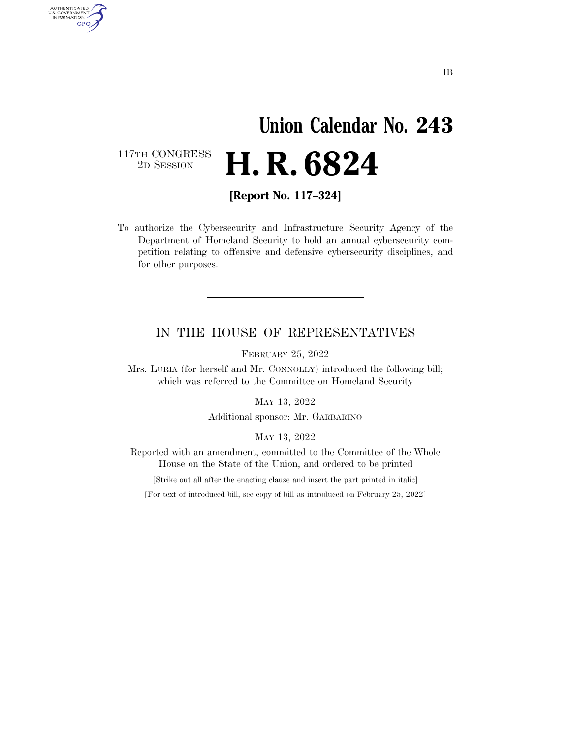# **Union Calendar No. 243**  2D SESSION **H. R. 6824**

117TH CONGRESS<br>2D SESSION

AUTHENTICATED<br>U.S. GOVERNMENT<br>INFORMATION **GPO** 

**[Report No. 117–324]** 

To authorize the Cybersecurity and Infrastructure Security Agency of the Department of Homeland Security to hold an annual cybersecurity competition relating to offensive and defensive cybersecurity disciplines, and for other purposes.

### IN THE HOUSE OF REPRESENTATIVES

FEBRUARY 25, 2022

Mrs. LURIA (for herself and Mr. CONNOLLY) introduced the following bill; which was referred to the Committee on Homeland Security

MAY 13, 2022

Additional sponsor: Mr. GARBARINO

MAY 13, 2022

Reported with an amendment, committed to the Committee of the Whole House on the State of the Union, and ordered to be printed

[Strike out all after the enacting clause and insert the part printed in italic]

[For text of introduced bill, see copy of bill as introduced on February 25, 2022]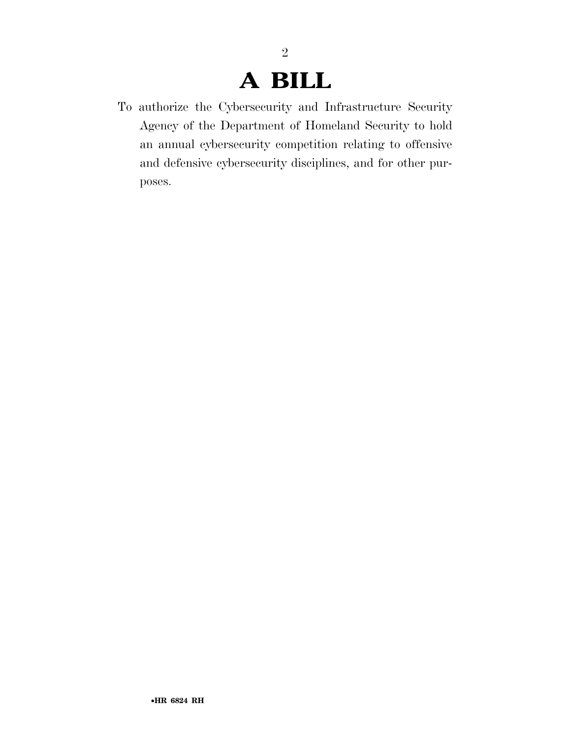### **A BILL**

2

To authorize the Cybersecurity and Infrastructure Security Agency of the Department of Homeland Security to hold an annual cybersecurity competition relating to offensive and defensive cybersecurity disciplines, and for other purposes.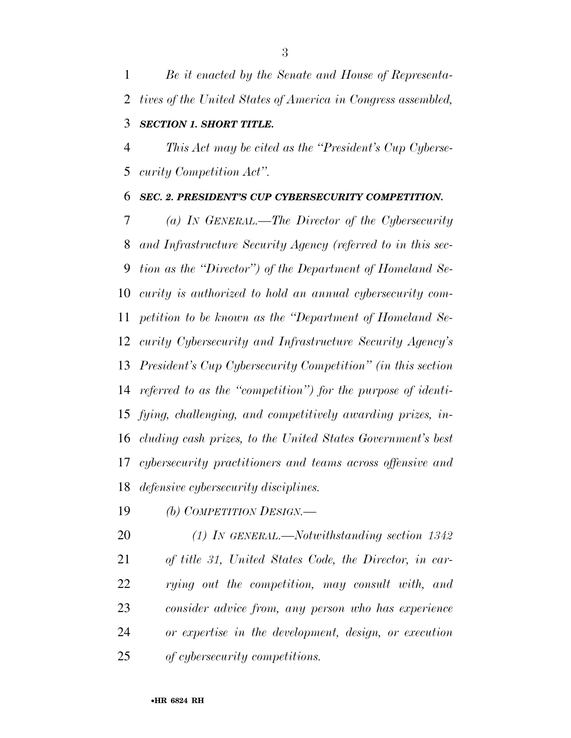*Be it enacted by the Senate and House of Representa- tives of the United States of America in Congress assembled, SECTION 1. SHORT TITLE.* 

 *This Act may be cited as the ''President's Cup Cyberse-curity Competition Act''.* 

#### *SEC. 2. PRESIDENT'S CUP CYBERSECURITY COMPETITION.*

 *(a) IN GENERAL.—The Director of the Cybersecurity and Infrastructure Security Agency (referred to in this sec- tion as the ''Director'') of the Department of Homeland Se- curity is authorized to hold an annual cybersecurity com- petition to be known as the ''Department of Homeland Se- curity Cybersecurity and Infrastructure Security Agency's President's Cup Cybersecurity Competition'' (in this section referred to as the ''competition'') for the purpose of identi- fying, challenging, and competitively awarding prizes, in- cluding cash prizes, to the United States Government's best cybersecurity practitioners and teams across offensive and defensive cybersecurity disciplines.* 

*(b) COMPETITION DESIGN.—* 

 *(1) IN GENERAL.—Notwithstanding section 1342 of title 31, United States Code, the Director, in car- rying out the competition, may consult with, and consider advice from, any person who has experience or expertise in the development, design, or execution of cybersecurity competitions.*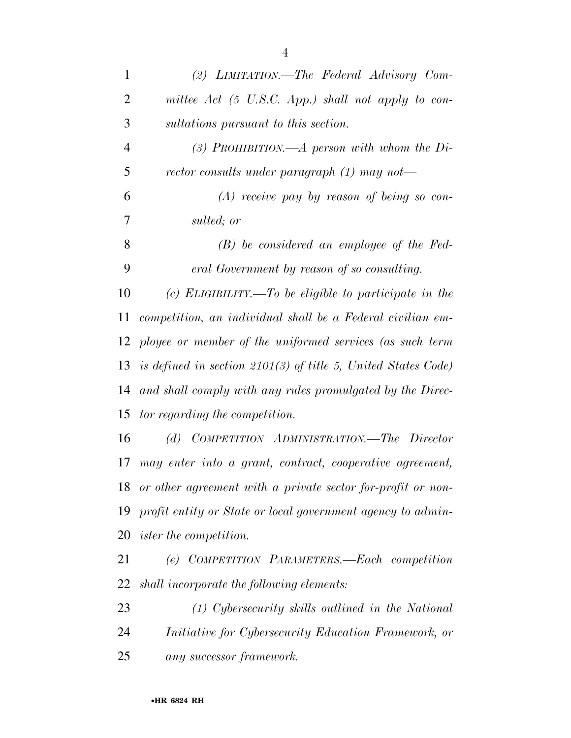| $\mathbf{1}$   | (2) LIMITATION.—The Federal Advisory Com-                          |
|----------------|--------------------------------------------------------------------|
| $\overline{2}$ | mittee $Act$ (5 U.S.C. App.) shall not apply to con-               |
| 3              | sultations pursuant to this section.                               |
| $\overline{4}$ | (3) PROHIBITION.—A person with whom the $Di-$                      |
| 5              | rector consults under paragraph $(1)$ may not—                     |
| 6              | $(A)$ receive pay by reason of being so con-                       |
| 7              | sulted; or                                                         |
| 8              | $(B)$ be considered an employee of the Fed-                        |
| 9              | eral Government by reason of so consulting.                        |
| 10             | (c) ELIGIBILITY.—To be eligible to participate in the              |
| 11             | competition, an individual shall be a Federal civilian em-         |
|                | 12 ployee or member of the uniformed services (as such term        |
|                | 13 is defined in section $2101(3)$ of title 5, United States Code) |
| 14             | and shall comply with any rules promulgated by the Direc-          |
| 15             | tor regarding the competition.                                     |
| 16             | (d) COMPETITION ADMINISTRATION.—The Director                       |
| 17             | may enter into a grant, contract, cooperative agreement,           |
| 18             | or other agreement with a private sector for-profit or non-        |
| 19             | profit entity or State or local government agency to admin-        |
| 20             | <i>ister the competition.</i>                                      |
| 21             | (e) COMPETITION PARAMETERS.—Each competition                       |
| 22             | shall incorporate the following elements:                          |
| 23             | $(1)$ Cybersecurity skills outlined in the National                |
| 24             | <i>Initiative for Cybersecurity Education Framework, or</i>        |
| 25             | any successor framework.                                           |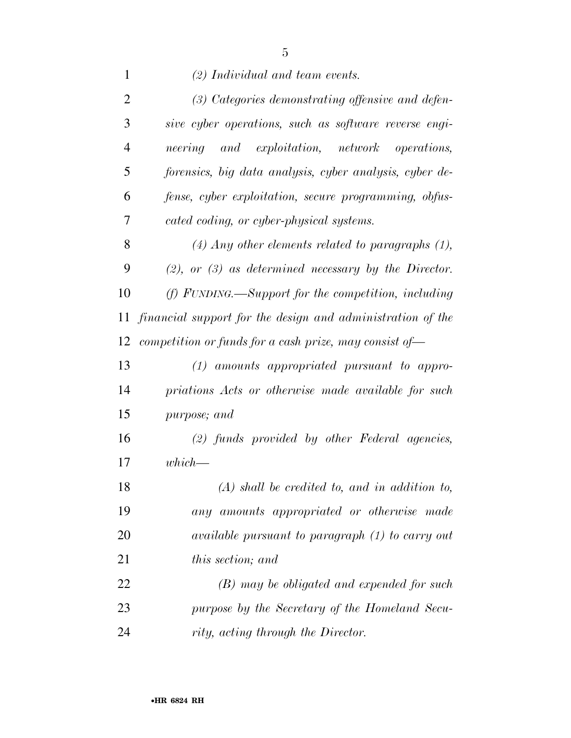*(2) Individual and team events. (3) Categories demonstrating offensive and defen- sive cyber operations, such as software reverse engi- neering and exploitation, network operations, forensics, big data analysis, cyber analysis, cyber de- fense, cyber exploitation, secure programming, obfus- cated coding, or cyber-physical systems. (4) Any other elements related to paragraphs (1), (2), or (3) as determined necessary by the Director. (f) FUNDING.—Support for the competition, including financial support for the design and administration of the competition or funds for a cash prize, may consist of— (1) amounts appropriated pursuant to appro- priations Acts or otherwise made available for such purpose; and (2) funds provided by other Federal agencies, which— (A) shall be credited to, and in addition to, any amounts appropriated or otherwise made available pursuant to paragraph (1) to carry out* 

*this section; and* 

 *(B) may be obligated and expended for such purpose by the Secretary of the Homeland Secu-rity, acting through the Director.*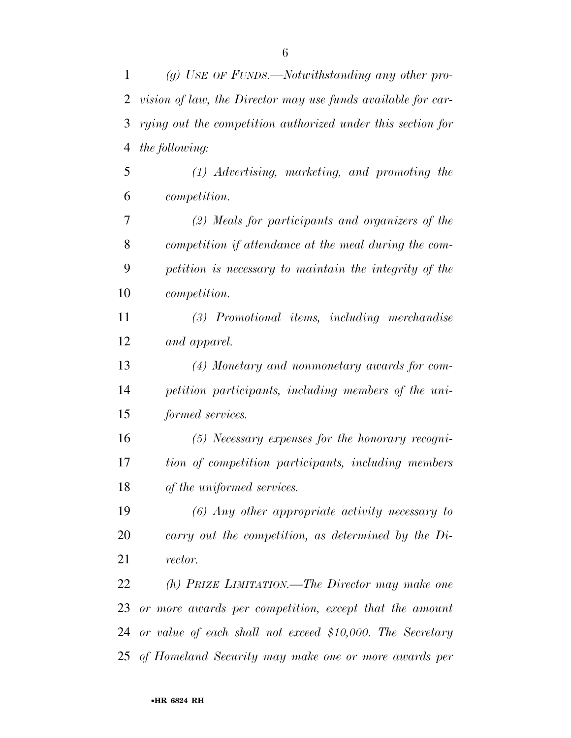| $\mathbf{1}$ | (g) USE OF FUNDS.—Notwithstanding any other pro-             |
|--------------|--------------------------------------------------------------|
| 2            | vision of law, the Director may use funds available for car- |
| 3            | rying out the competition authorized under this section for  |
| 4            | the following:                                               |
| 5            | $(1)$ Advertising, marketing, and promoting the              |
| 6            | <i>competition.</i>                                          |
| 7            | (2) Meals for participants and organizers of the             |
| 8            | competition if attendance at the meal during the com-        |
| 9            | petition is necessary to maintain the integrity of the       |
| 10           | <i>competition.</i>                                          |
| 11           | $(3)$ Promotional items, including merchandise               |
| 12           | and apparel.                                                 |
| 13           | (4) Monetary and nonmonetary awards for com-                 |
| 14           | petition participants, including members of the uni-         |
| 15           | formed services.                                             |
| 16           | $(5)$ Necessary expenses for the honorary recogni-           |
| 17           | tion of competition participants, including members          |
| 18           | of the uniformed services.                                   |
| 19           | $(6)$ Any other appropriate activity necessary to            |
| 20           | carry out the competition, as determined by the $Di-$        |
| 21           | rector.                                                      |
| 22           | (h) PRIZE LIMITATION.—The Director may make one              |
| 23           | or more awards per competition, except that the amount       |
|              | 24 or value of each shall not exceed \$10,000. The Secretary |
|              | 25 of Homeland Security may make one or more awards per      |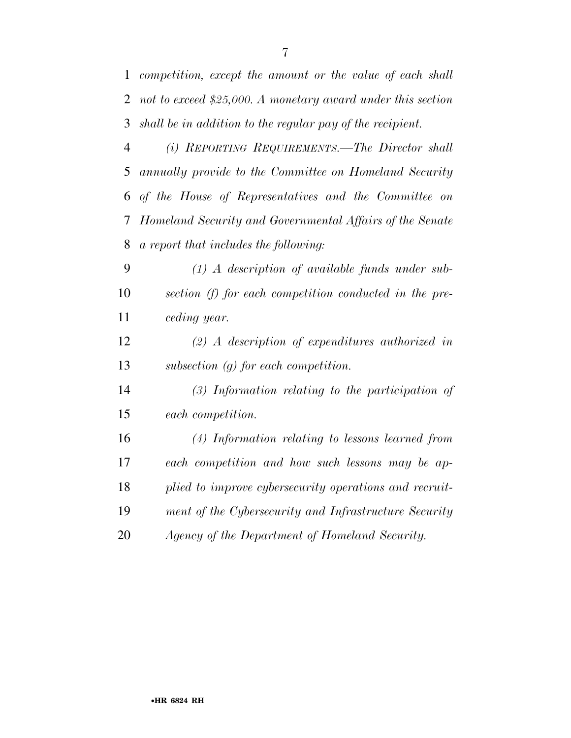*competition, except the amount or the value of each shall not to exceed \$25,000. A monetary award under this section shall be in addition to the regular pay of the recipient.* 

 *(i) REPORTING REQUIREMENTS.—The Director shall annually provide to the Committee on Homeland Security of the House of Representatives and the Committee on Homeland Security and Governmental Affairs of the Senate a report that includes the following:* 

 *(1) A description of available funds under sub- section (f) for each competition conducted in the pre-ceding year.* 

 *(2) A description of expenditures authorized in subsection (g) for each competition.* 

 *(3) Information relating to the participation of each competition.* 

 *(4) Information relating to lessons learned from each competition and how such lessons may be ap- plied to improve cybersecurity operations and recruit- ment of the Cybersecurity and Infrastructure Security Agency of the Department of Homeland Security.*